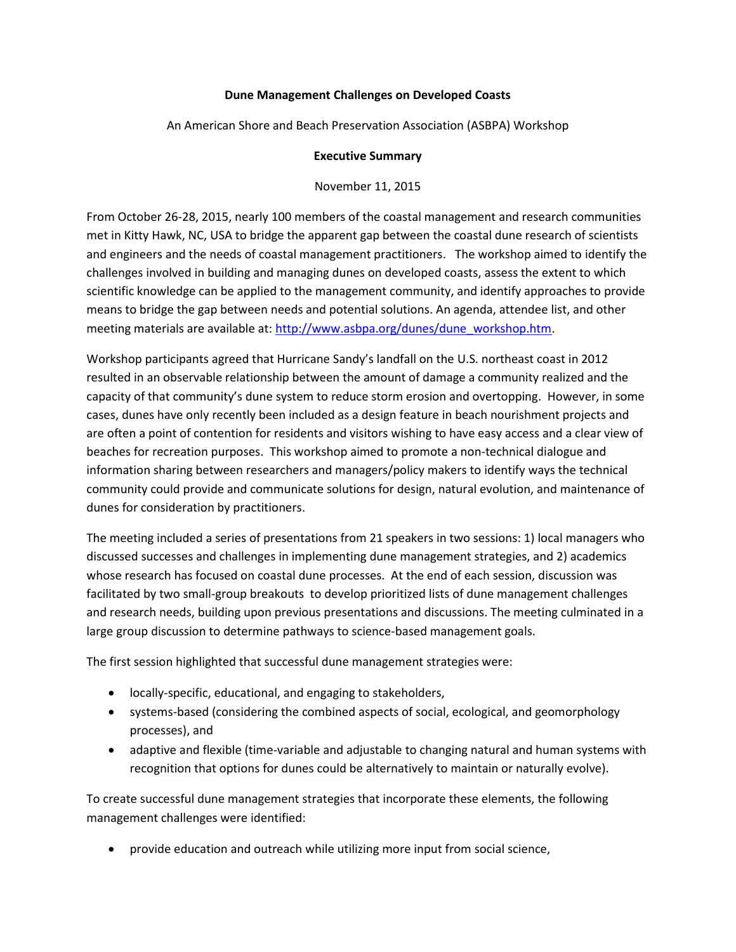## **Dune Management Challenges on Developed Coasts**

An American Shore and Beach Preservation Association (ASBPA) Workshop

## **Executive Summary**

## November 11, 2015

From October 26-28, 2015, nearly 100 members of the coastal management and research communities met in Kitty Hawk, NC, USA to bridge the apparent gap between the coastal dune research of scientists and engineers and the needs of coastal management practitioners. The workshop aimed to identify the challenges involved in building and managing dunes on developed coasts, assess the extent to which scientific knowledge can be applied to the management community, and identify approaches to provide means to bridge the gap between needs and potential solutions. An agenda, attendee list, and other meeting materials are available at: [http://www.asbpa.org/dunes/dune\\_workshop.htm.](http://www.asbpa.org/dunes/dune_workshop.htm)

Workshop participants agreed that Hurricane Sandy's landfall on the U.S. northeast coast in 2012 resulted in an observable relationship between the amount of damage a community realized and the capacity of that community's dune system to reduce storm erosion and overtopping. However, in some cases, dunes have only recently been included as a design feature in beach nourishment projects and are often a point of contention for residents and visitors wishing to have easy access and a clear view of beaches for recreation purposes. This workshop aimed to promote a non-technical dialogue and information sharing between researchers and managers/policy makers to identify ways the technical community could provide and communicate solutions for design, natural evolution, and maintenance of dunes for consideration by practitioners.

The meeting included a series of presentations from 21 speakers in two sessions: 1) local managers who discussed successes and challenges in implementing dune management strategies, and 2) academics whose research has focused on coastal dune processes. At the end of each session, discussion was facilitated by two small-group breakouts to develop prioritized lists of dune management challenges and research needs, building upon previous presentations and discussions. The meeting culminated in a large group discussion to determine pathways to science-based management goals.

The first session highlighted that successful dune management strategies were:

- locally-specific, educational, and engaging to stakeholders,
- systems-based (considering the combined aspects of social, ecological, and geomorphology processes), and
- adaptive and flexible (time-variable and adjustable to changing natural and human systems with recognition that options for dunes could be alternatively to maintain or naturally evolve).

To create successful dune management strategies that incorporate these elements, the following management challenges were identified:

provide education and outreach while utilizing more input from social science,